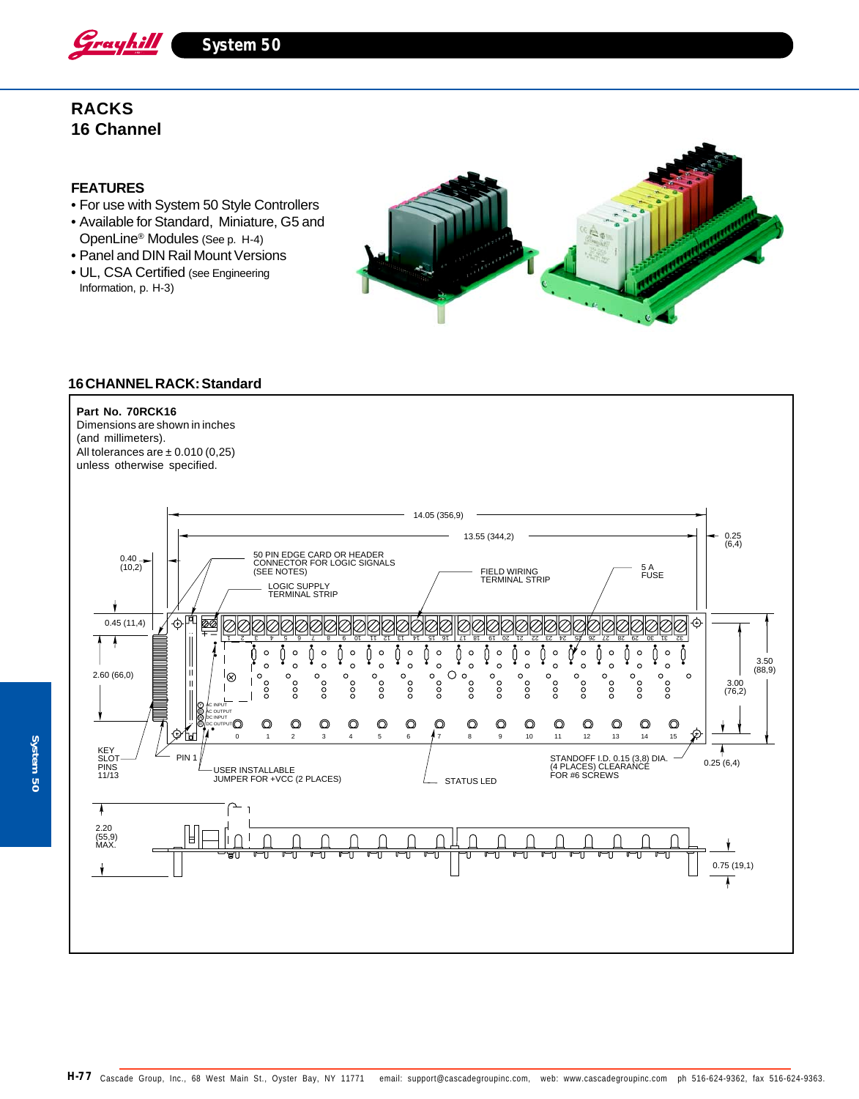

**System 50**

# **RACKS 16 Channel**

### **FEATURES**

- For use with System 50 Style Controllers
- Available for Standard, Miniature, G5 and OpenLine® Modules (See p. H-4)
- Panel and DIN Rail Mount Versions
- UL, CSA Certified (see Engineering Information, p. H-3)



### **16 CHANNEL RACK: Standard**

#### **Part No. 70RCK16**

Dimensions are shown in inches (and millimeters). All tolerances are  $\pm$  0.010 (0,25) unless otherwise specified.

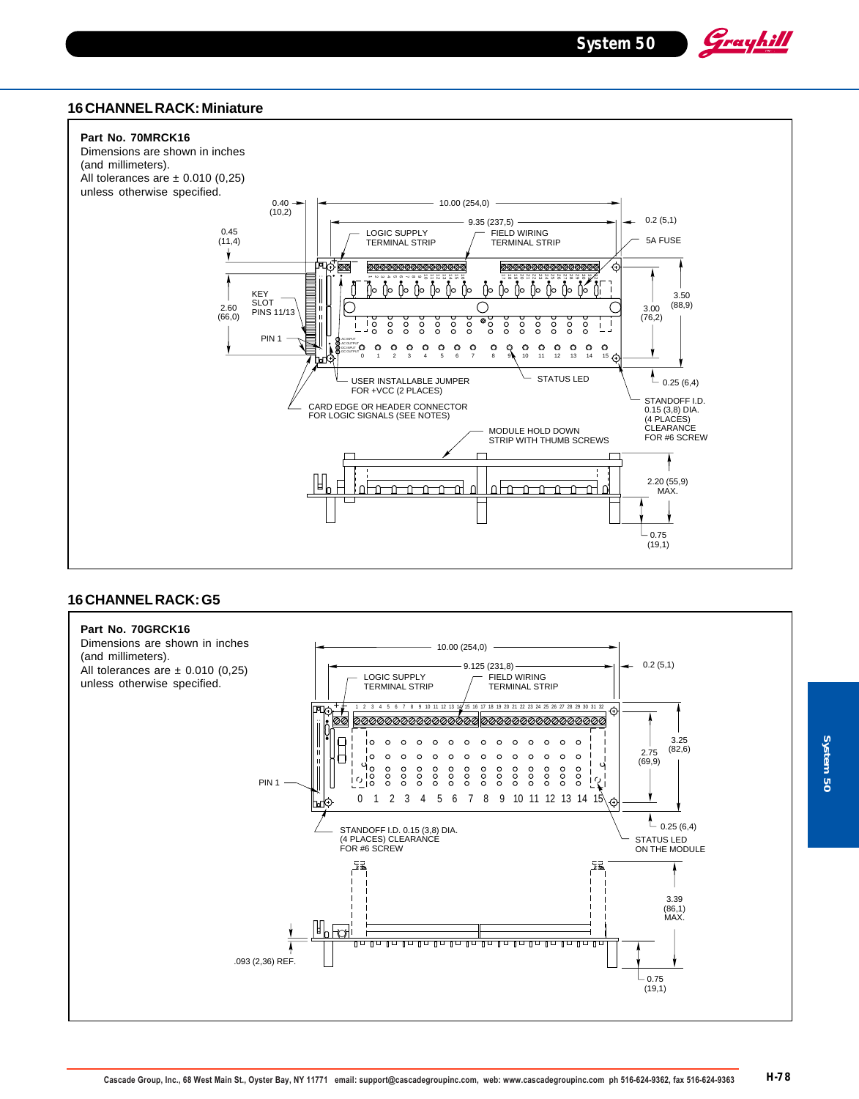Grayhill

### **16 CHANNEL RACK: Miniature**



## **16 CHANNEL RACK: G5**

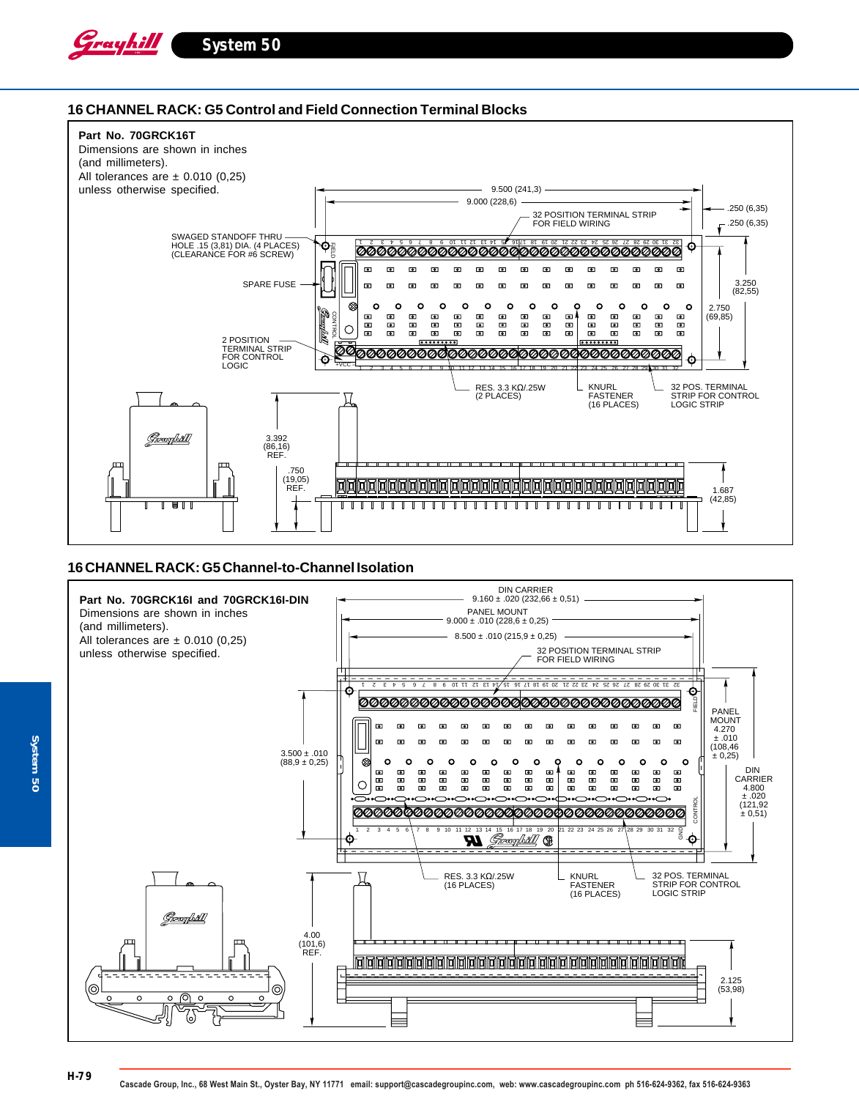

### **16 CHANNEL RACK: G5 Control and Field Connection Terminal Blocks**



### **16 CHANNEL RACK: G5 Channel-to-Channel Isolation**

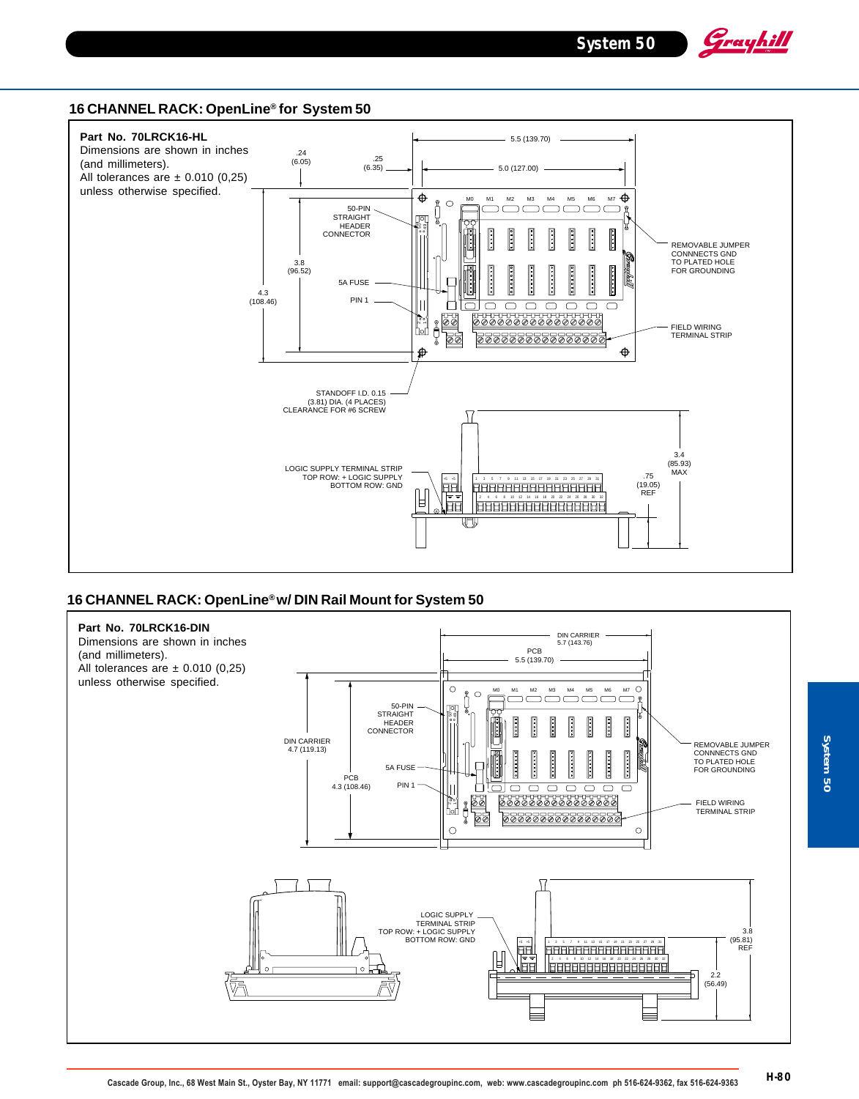Grayhill

### **16 CHANNEL RACK: OpenLine® for System 50**



### **16 CHANNEL RACK: OpenLine® w/ DIN Rail Mount for System 50**